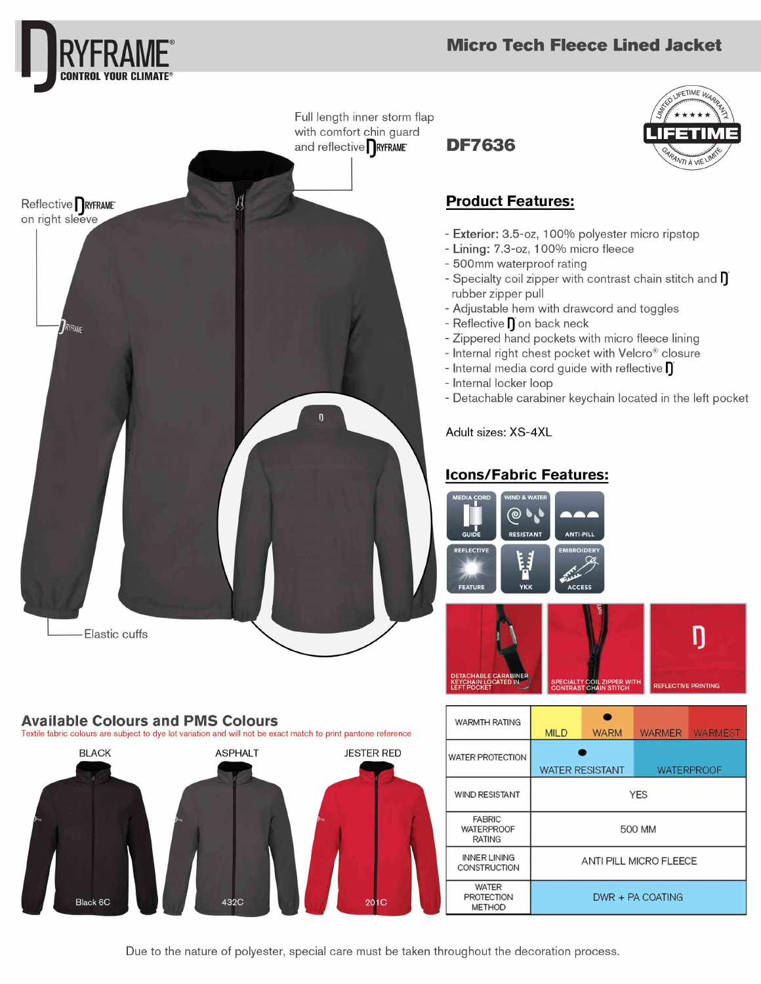

# **Available Colours and PMS Colours**

Textile fabric colours are subject to dye lot variation and will not be exact match to print pantone reference **ASPHALT BLACK JESTER RED** Black 6C 432C

#### $\bullet$ WARMTH RATING **WARM** WARMER WARMEST **MILD WATER PROTECTION WATER RESISTANT WATERPROOF** WIND RESISTANT **YES FABRIC WATERPROOF** 500 MM **RATING INNER LINING** ANTI PILL MICRO FLEECE **CONSTRUCTION WATER PROTECTION** DWR + PA COATING **METHOD**

**FETIME** I

**ANTI À VIE** 

Ŋ

**EFLECTIVE PRINTING** 

Due to the nature of polyester, special care must be taken throughout the decoration process.